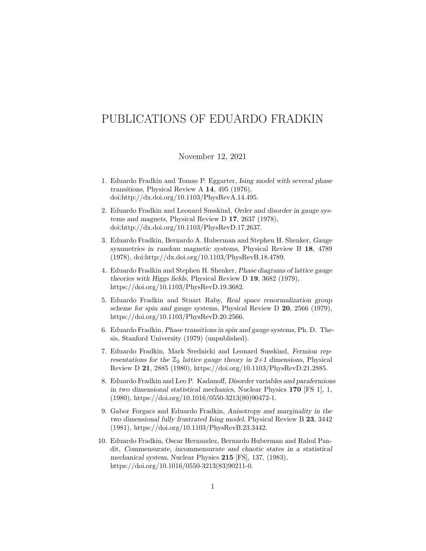## PUBLICATIONS OF EDUARDO FRADKIN

## November 12, 2021

- 1. Eduardo Fradkin and Tomas P. Eggarter, Ising model with several phase transitions, Physical Review A 14, 495 (1976), doi:http://dx.doi.org/10.1103/PhysRevA.14.495.
- 2. Eduardo Fradkin and Leonard Susskind, Order and disorder in gauge systems and magnets, Physical Review D 17, 2637 (1978), doi:http://dx.doi.org/10.1103/PhysRevD.17.2637.
- 3. Eduardo Fradkin, Bernardo A. Huberman and Stephen H. Shenker, Gauge symmetries in random magnetic systems, Physical Review B 18, 4789 (1978), doi:http://dx.doi.org/10.1103/PhysRevB.18.4789.
- 4. Eduardo Fradkin and Stephen H. Shenker, Phase diagrams of lattice gauge theories with Higgs fields, Physical Review D 19, 3682 (1979), https://doi.org/10.1103/PhysRevD.19.3682.
- 5. Eduardo Fradkin and Stuart Raby, Real space renormalization group scheme for spin and gauge systems, Physical Review D 20, 2566 (1979), https://doi.org/10.1103/PhysRevD.20.2566.
- 6. Eduardo Fradkin, Phase transitions in spin and gauge systems, Ph. D. Thesis, Stanford University (1979) (unpublished).
- 7. Eduardo Fradkin, Mark Srednicki and Leonard Susskind, Fermion representations for the  $\mathbb{Z}_2$  lattice gauge theory in 2+1 dimensions, Physical Review D 21, 2885 (1980), https://doi.org/10.1103/PhysRevD.21.2885.
- 8. Eduardo Fradkin and Leo P. Kadanoff, Disorder variables and parafermions in two dimensional statistical mechanics, Nuclear Physics 170 [FS 1], 1, (1980), https://doi.org/10.1016/0550-3213(80)90472-1.
- 9. Gabor Forgacs and Eduardo Fradkin, Anisotropy and marginality in the two dimensional fully frustrated Ising model, Physical Review B 23, 3442 (1981), https://doi.org/10.1103/PhysRevB.23.3442.
- 10. Eduardo Fradkin, Oscar Hernandez, Bernardo Huberman and Rahul Pandit, Commensurate, incommensurate and chaotic states in a statistical mechanical system, Nuclear Physics 215 [FS], 137, (1983), https://doi.org/10.1016/0550-3213(83)90211-0.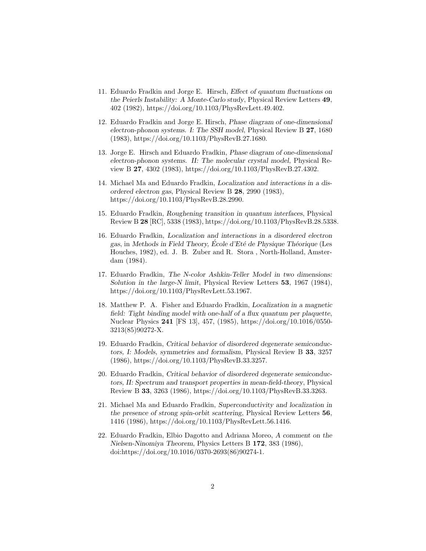- 11. Eduardo Fradkin and Jorge E. Hirsch, Effect of quantum fluctuations on the Peierls Instability: A Monte-Carlo study, Physical Review Letters 49, 402 (1982), https://doi.org/10.1103/PhysRevLett.49.402.
- 12. Eduardo Fradkin and Jorge E. Hirsch, Phase diagram of one-dimensional electron-phonon systems. I: The SSH model, Physical Review B 27, 1680 (1983), https://doi.org/10.1103/PhysRevB.27.1680.
- 13. Jorge E. Hirsch and Eduardo Fradkin, Phase diagram of one-dimensional electron-phonon systems. II: The molecular crystal model, Physical Review B 27, 4302 (1983), https://doi.org/10.1103/PhysRevB.27.4302.
- 14. Michael Ma and Eduardo Fradkin, Localization and interactions in a disordered electron gas, Physical Review B 28, 2990 (1983), https://doi.org/10.1103/PhysRevB.28.2990.
- 15. Eduardo Fradkin, Roughening transition in quantum interfaces, Physical Review B 28 [RC], 5338 (1983), https://doi.org/10.1103/PhysRevB.28.5338.
- 16. Eduardo Fradkin, Localization and interactions in a disordered electron gas, in Methods in Field Theory, École d'Eté de Physique Théorique (Les Houches, 1982), ed. J. B. Zuber and R. Stora , North-Holland, Amsterdam (1984).
- 17. Eduardo Fradkin, The N-color Ashkin-Teller Model in two dimensions: Solution in the large-N limit, Physical Review Letters 53, 1967 (1984), https://doi.org/10.1103/PhysRevLett.53.1967.
- 18. Matthew P. A. Fisher and Eduardo Fradkin, Localization in a magnetic field: Tight binding model with one-half of a flux quantum per plaquette, Nuclear Physics 241 [FS 13], 457, (1985), https://doi.org/10.1016/0550- 3213(85)90272-X.
- 19. Eduardo Fradkin, Critical behavior of disordered degenerate semiconductors, I: Models, symmetries and formalism, Physical Review B 33, 3257 (1986), https://doi.org/10.1103/PhysRevB.33.3257.
- 20. Eduardo Fradkin, Critical behavior of disordered degenerate semiconductors, II: Spectrum and transport properties in mean-field-theory, Physical Review B 33, 3263 (1986), https://doi.org/10.1103/PhysRevB.33.3263.
- 21. Michael Ma and Eduardo Fradkin, Superconductivity and localization in the presence of strong spin-orbit scattering, Physical Review Letters 56, 1416 (1986), https://doi.org/10.1103/PhysRevLett.56.1416.
- 22. Eduardo Fradkin, Elbio Dagotto and Adriana Moreo, A comment on the Nielsen-Ninomiya Theorem, Physics Letters B 172, 383 (1986), doi:https://doi.org/10.1016/0370-2693(86)90274-1.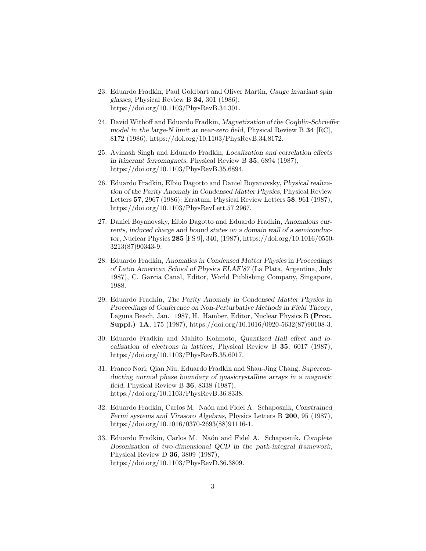- 23. Eduardo Fradkin, Paul Goldbart and Oliver Martin, Gauge invariant spin glasses, Physical Review B 34, 301 (1986), https://doi.org/10.1103/PhysRevB.34.301.
- 24. David Withoff and Eduardo Fradkin, Magnetization of the Coqblin-Schrieffer model in the large-N limit at near-zero field, Physical Review B 34 [RC], 8172 (1986), https://doi.org/10.1103/PhysRevB.34.8172.
- 25. Avinash Singh and Eduardo Fradkin, Localization and correlation effects in itinerant ferromagnets, Physical Review B 35, 6894 (1987), https://doi.org/10.1103/PhysRevB.35.6894.
- 26. Eduardo Fradkin, Elbio Dagotto and Daniel Boyanovsky, Physical realization of the Parity Anomaly in Condensed Matter Physics, Physical Review Letters 57, 2967 (1986); Erratum, Physical Review Letters 58, 961 (1987), https://doi.org/10.1103/PhysRevLett.57.2967.
- 27. Daniel Boyanovsky, Elbio Dagotto and Eduardo Fradkin, Anomalous currents, induced charge and bound states on a domain wall of a semiconductor, Nuclear Physics 285 [FS 9], 340, (1987), https://doi.org/10.1016/0550- 3213(87)90343-9.
- 28. Eduardo Fradkin, Anomalies in Condensed Matter Physics in Proceedings of Latin American School of Physics ELAF'87 (La Plata, Argentina, July 1987), C. Garcia Canal, Editor, World Publishing Company, Singapore, 1988.
- 29. Eduardo Fradkin, The Parity Anomaly in Condensed Matter Physics in Proceedings of Conference on Non-Perturbative Methods in Field Theory, Laguna Beach, Jan. 1987, H. Hamber, Editor, Nuclear Physics B (Proc. Suppl.) 1A, 175 (1987), https://doi.org/10.1016/0920-5632(87)90108-3.
- 30. Eduardo Fradkin and Mahito Kohmoto, Quantized Hall effect and localization of electrons in lattices, Physical Review B 35, 6017 (1987), https://doi.org/10.1103/PhysRevB.35.6017.
- 31. Franco Nori, Qian Niu, Eduardo Fradkin and Shau-Jing Chang, Superconducting normal phase boundary of quasicrystalline arrays in a magnetic field, Physical Review B 36, 8338 (1987), https://doi.org/10.1103/PhysRevB.36.8338.
- 32. Eduardo Fradkin, Carlos M. Naón and Fidel A. Schaposnik, Constrained Fermi systems and Virasoro Algebras, Physics Letters B 200, 95 (1987), https://doi.org/10.1016/0370-2693(88)91116-1.
- 33. Eduardo Fradkin, Carlos M. Naón and Fidel A. Schaposnik, Complete Bosonization of two-dimensional QCD in the path-integral framework, Physical Review D 36, 3809 (1987), https://doi.org/10.1103/PhysRevD.36.3809.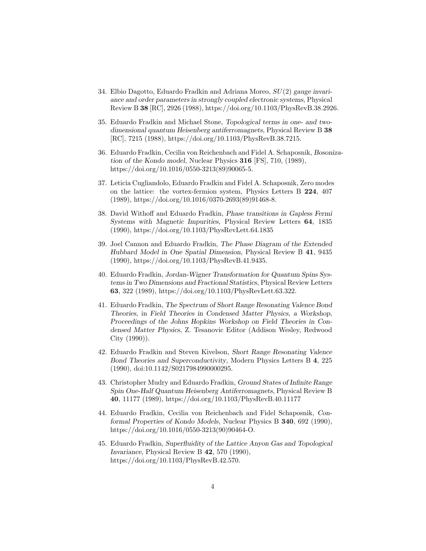- 34. Elbio Dagotto, Eduardo Fradkin and Adriana Moreo,  $SU(2)$  gauge invariance and order parameters in strongly coupled electronic systems, Physical Review B 38 [RC], 2926 (1988), https://doi.org/10.1103/PhysRevB.38.2926.
- 35. Eduardo Fradkin and Michael Stone, Topological terms in one- and twodimensional quantum Heisenberg antiferromagnets, Physical Review B 38 [RC], 7215 (1988), https://doi.org/10.1103/PhysRevB.38.7215.
- 36. Eduardo Fradkin, Cecilia von Reichenbach and Fidel A. Schaposnik, Bosonization of the Kondo model, Nuclear Physics 316 [FS], 710, (1989), https://doi.org/10.1016/0550-3213(89)90065-5.
- 37. Leticia Cugliandolo, Eduardo Fradkin and Fidel A. Schaposnik, Zero modes on the lattice: the vortex-fermion system, Physics Letters B 224, 407 (1989), https://doi.org/10.1016/0370-2693(89)91468-8.
- 38. David Withoff and Eduardo Fradkin, Phase transitions in Gapless Fermi Systems with Magnetic Impurities, Physical Review Letters 64, 1835 (1990), https://doi.org/10.1103/PhysRevLett.64.1835
- 39. Joel Cannon and Eduardo Fradkin, The Phase Diagram of the Extended Hubbard Model in One Spatial Dimension, Physical Review B 41, 9435 (1990), https://doi.org/10.1103/PhysRevB.41.9435.
- 40. Eduardo Fradkin, Jordan-Wigner Transformation for Quantum Spins Systems in Two Dimensions and Fractional Statistics, Physical Review Letters 63, 322 (1989), https://doi.org/10.1103/PhysRevLett.63.322.
- 41. Eduardo Fradkin, The Spectrum of Short Range Resonating Valence Bond Theories, in Field Theories in Condensed Matter Physics, a Workshop, Proceedings of the Johns Hopkins Workshop on Field Theories in Condensed Matter Physics, Z. Tesanovic Editor (Addison Wesley, Redwood City (1990)).
- 42. Eduardo Fradkin and Steven Kivelson, Short Range Resonating Valence Bond Theories and Superconductivity, Modern Physics Letters B 4, 225 (1990), doi:10.1142/S0217984990000295.
- 43. Christopher Mudry and Eduardo Fradkin, Ground States of Infinite Range Spin One-Half Quantum Heisenberg Antiferromagnets, Physical Review B 40, 11177 (1989), https://doi.org/10.1103/PhysRevB.40.11177
- 44. Eduardo Fradkin, Cecilia von Reichenbach and Fidel Schaposnik, Conformal Properties of Kondo Models, Nuclear Physics B 340, 692 (1990), https://doi.org/10.1016/0550-3213(90)90464-O.
- 45. Eduardo Fradkin, Superfluidity of the Lattice Anyon Gas and Topological Invariance, Physical Review B 42, 570 (1990), https://doi.org/10.1103/PhysRevB.42.570.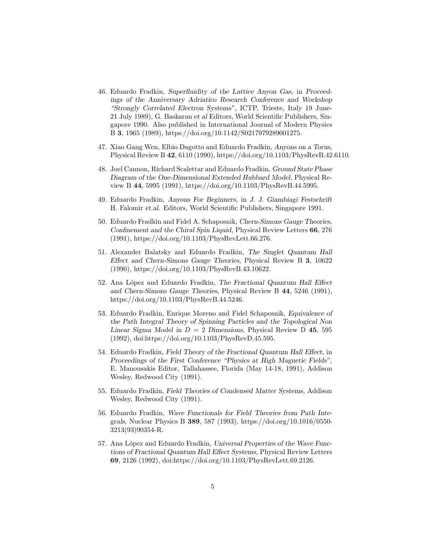- 46. Eduardo Fradkin, Superfluidity of the Lattice Anyon Gas, in Proceedings of the Anniversary Adriatico Research Conference and Workshop "Strongly Correlated Electron Systems", ICTP, Trieste, Italy 19 June-21 July 1989), G. Baskaran et al Editors, World Scientific Publishers, Singapore 1990. Also published in International Journal of Modern Physics B 3, 1965 (1989), https://doi.org/10.1142/S0217979289001275.
- 47. Xiao Gang Wen, Elbio Dagotto and Eduardo Fradkin, Anyons on a Torus, Physical Review B 42, 6110 (1990), https://doi.org/10.1103/PhysRevB.42.6110.
- 48. Joel Cannon, Richard Scalettar and Eduardo Fradkin, Ground State Phase Diagram of the One-Dimensional Extended Hubbard Model, Physical Review B 44, 5995 (1991), https://doi.org/10.1103/PhysRevB.44.5995.
- 49. Eduardo Fradkin, Anyons For Beginners, in J. J. Giambiagi Festschrift H. Falomir et.al. Editors, World Scientific Publishers, Singapore 1991.
- 50. Eduardo Fradkin and Fidel A. Schaposnik, Chern-Simons Gauge Theories, Confinement and the Chiral Spin Liquid, Physical Review Letters 66, 276 (1991), https://doi.org/10.1103/PhysRevLett.66.276.
- 51. Alexander Balatsky and Eduardo Fradkin, The Singlet Quantum Hall Effect and Chern-Simons Gauge Theories, Physical Review B 3, 10622 (1990), https://doi.org/10.1103/PhysRevB.43.10622.
- 52. Ana López and Eduardo Fradkin, The Fractional Quantum Hall Effect and Chern-Simons Gauge Theories, Physical Review B 44, 5246 (1991), https://doi.org/10.1103/PhysRevB.44.5246.
- 53. Eduardo Fradkin, Enrique Moreno and Fidel Schaposnik, Equivalence of the Path Integral Theory of Spinning Particles and the Topological Non Linear Sigma Model in  $D = 2$  Dimensions, Physical Review D 45, 595 (1992), doi:https://doi.org/10.1103/PhysRevD.45.595.
- 54. Eduardo Fradkin, Field Theory of the Fractional Quantum Hall Effect, in Proceedings of the First Conference "Physics at High Magnetic Fields", E. Manousakis Editor, Tallahassee, Florida (May 14-18, 1991), Addison Wesley, Redwood City (1991).
- 55. Eduardo Fradkin, Field Theories of Condensed Matter Systems, Addison Wesley, Redwood City (1991).
- 56. Eduardo Fradkin, Wave Functionals for Field Theories from Path Integrals, Nuclear Physics B 389, 587 (1993), https://doi.org/10.1016/0550- 3213(93)90354-R.
- 57. Ana López and Eduardo Fradkin, Universal Properties of the Wave Functions of Fractional Quantum Hall Effect Systems, Physical Review Letters 69, 2126 (1992), doi:https://doi.org/10.1103/PhysRevLett.69.2126.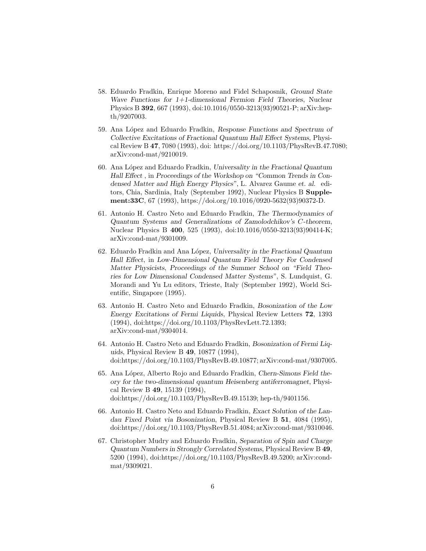- 58. Eduardo Fradkin, Enrique Moreno and Fidel Schaposnik, Ground State Wave Functions for 1+1-dimensional Fermion Field Theories, Nuclear Physics B 392, 667 (1993), doi:10.1016/0550-3213(93)90521-P; arXiv:hepth/9207003.
- 59. Ana López and Eduardo Fradkin, Response Functions and Spectrum of Collective Excitations of Fractional Quantum Hall Effect Systems, Physical Review B 47, 7080 (1993), doi: https://doi.org/10.1103/PhysRevB.47.7080; arXiv:cond-mat/9210019.
- 60. Ana López and Eduardo Fradkin, Universality in the Fractional Quantum Hall Effect , in Proceedings of the Workshop on "Common Trends in Condensed Matter and High Energy Physics", L. Alvarez Gaume et. al. editors, Chia, Sardinia, Italy (September 1992), Nuclear Physics B Supplement:33C, 67 (1993), https://doi.org/10.1016/0920-5632(93)90372-D.
- 61. Antonio H. Castro Neto and Eduardo Fradkin, The Thermodynamics of Quantum Systems and Generalizations of Zamolodchikov's C-theorem, Nuclear Physics B 400, 525 (1993), doi:10.1016/0550-3213(93)90414-K; arXiv:cond-mat/9301009.
- 62. Eduardo Fradkin and Ana L´opez, Universality in the Fractional Quantum Hall Effect, in Low-Dimensional Quantum Field Theory For Condensed Matter Physicists, Proceedings of the Summer School on "Field Theories for Low Dimensional Condensed Matter Systems", S. Lundquist, G. Morandi and Yu Lu editors, Trieste, Italy (September 1992), World Scientific, Singapore (1995).
- 63. Antonio H. Castro Neto and Eduardo Fradkin, Bosonization of the Low Energy Excitations of Fermi Liquids, Physical Review Letters 72, 1393 (1994), doi:https://doi.org/10.1103/PhysRevLett.72.1393; arXiv:cond-mat/9304014.
- 64. Antonio H. Castro Neto and Eduardo Fradkin, Bosonization of Fermi Liquids, Physical Review B 49, 10877 (1994), doi:https://doi.org/10.1103/PhysRevB.49.10877; arXiv:cond-mat/9307005.
- 65. Ana López, Alberto Rojo and Eduardo Fradkin, Chern-Simons Field theory for the two-dimensional quantum Heisenberg antiferromagnet, Physical Review B 49, 15139 (1994), doi:https://doi.org/10.1103/PhysRevB.49.15139; hep-th/9401156.
- 66. Antonio H. Castro Neto and Eduardo Fradkin, Exact Solution of the Landau Fixed Point via Bosonization, Physical Review B 51, 4084 (1995), doi:https://doi.org/10.1103/PhysRevB.51.4084; arXiv:cond-mat/9310046.
- 67. Christopher Mudry and Eduardo Fradkin, Separation of Spin and Charge Quantum Numbers in Strongly Correlated Systems, Physical Review B 49, 5200 (1994), doi:https://doi.org/10.1103/PhysRevB.49.5200; arXiv:condmat/9309021.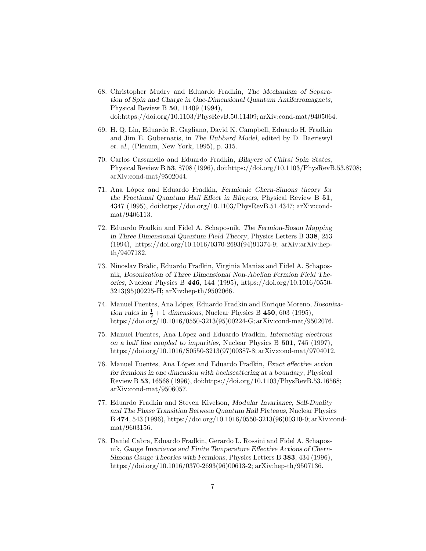- 68. Christopher Mudry and Eduardo Fradkin, The Mechanism of Separation of Spin and Charge in One-Dimensional Quantum Antiferromagnets, Physical Review B 50, 11409 (1994), doi:https://doi.org/10.1103/PhysRevB.50.11409; arXiv:cond-mat/9405064.
- 69. H. Q. Lin, Eduardo R. Gagliano, David K. Campbell, Eduardo H. Fradkin and Jim E. Gubernatis, in The Hubbard Model, edited by D. Baeriswyl et. al., (Plenum, New York, 1995), p. 315.
- 70. Carlos Cassanello and Eduardo Fradkin, Bilayers of Chiral Spin States, Physical Review B 53, 8708 (1996), doi:https://doi.org/10.1103/PhysRevB.53.8708; arXiv:cond-mat/9502044.
- 71. Ana López and Eduardo Fradkin, Fermionic Chern-Simons theory for the Fractional Quantum Hall Effect in Bilayers, Physical Review B 51, 4347 (1995), doi:https://doi.org/10.1103/PhysRevB.51.4347; arXiv:condmat/9406113.
- 72. Eduardo Fradkin and Fidel A. Schaposnik, The Fermion-Boson Mapping in Three Dimensional Quantum Field Theory, Physics Letters B 338, 253 (1994), https://doi.org/10.1016/0370-2693(94)91374-9; arXiv:arXiv:hepth/9407182.
- 73. Ninoslav Br`alic, Eduardo Fradkin, Virginia Manias and Fidel A. Schaposnik, Bosonization of Three Dimensional Non-Abelian Fermion Field Theories, Nuclear Physics B 446, 144 (1995), https://doi.org/10.1016/0550- 3213(95)00225-H; arXiv:hep-th/9502066.
- 74. Manuel Fuentes, Ana L´opez, Eduardo Fradkin and Enrique Moreno, Bosonization rules in  $\frac{1}{2}+1$  dimensions, Nuclear Physics B 450, 603 (1995), https://doi.org/10.1016/0550-3213(95)00224-G; arXiv:cond-mat/9502076.
- 75. Manuel Fuentes, Ana L´opez and Eduardo Fradkin, Interacting electrons on a half line coupled to impurities, Nuclear Physics B 501, 745 (1997), https://doi.org/10.1016/S0550-3213(97)00387-8; arXiv:cond-mat/9704012.
- 76. Manuel Fuentes, Ana L´opez and Eduardo Fradkin, Exact effective action for fermions in one dimension with backscattering at a boundary, Physical Review B 53, 16568 (1996), doi:https://doi.org/10.1103/PhysRevB.53.16568; arXiv:cond-mat/9506057.
- 77. Eduardo Fradkin and Steven Kivelson, Modular Invariance, Self-Duality and The Phase Transition Between Quantum Hall Plateaus, Nuclear Physics B 474, 543 (1996), https://doi.org/10.1016/0550-3213(96)00310-0; arXiv:condmat/9603156.
- 78. Daniel Cabra, Eduardo Fradkin, Gerardo L. Rossini and Fidel A. Schaposnik, Gauge Invariance and Finite Temperature Effective Actions of Chern-Simons Gauge Theories with Fermions, Physics Letters B 383, 434 (1996), https://doi.org/10.1016/0370-2693(96)00613-2; arXiv:hep-th/9507136.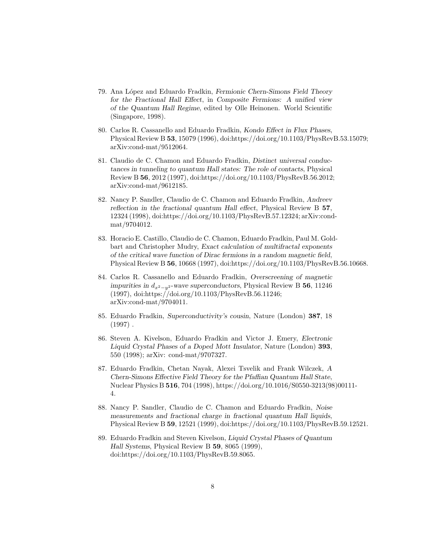- 79. Ana L´opez and Eduardo Fradkin, Fermionic Chern-Simons Field Theory for the Fractional Hall Effect, in Composite Fermions: A unified view of the Quantum Hall Regime, edited by Olle Heinonen. World Scientific (Singapore, 1998).
- 80. Carlos R. Cassanello and Eduardo Fradkin, Kondo Effect in Flux Phases, Physical Review B 53, 15079 (1996), doi:https://doi.org/10.1103/PhysRevB.53.15079; arXiv:cond-mat/9512064.
- 81. Claudio de C. Chamon and Eduardo Fradkin, Distinct universal conductances in tunneling to quantum Hall states: The role of contacts, Physical Review B 56, 2012 (1997), doi:https://doi.org/10.1103/PhysRevB.56.2012; arXiv:cond-mat/9612185.
- 82. Nancy P. Sandler, Claudio de C. Chamon and Eduardo Fradkin, Andreev reflection in the fractional quantum Hall effect, Physical Review B 57, 12324 (1998), doi:https://doi.org/10.1103/PhysRevB.57.12324; arXiv:condmat/9704012.
- 83. Horacio E. Castillo, Claudio de C. Chamon, Eduardo Fradkin, Paul M. Goldbart and Christopher Mudry, Exact calculation of multifractal exponents of the critical wave function of Dirac fermions in a random magnetic field, Physical Review B 56, 10668 (1997), doi:https://doi.org/10.1103/PhysRevB.56.10668.
- 84. Carlos R. Cassanello and Eduardo Fradkin, Overscreening of magnetic impurities in  $d_{x^2-y^2}$ -wave superconductors, Physical Review B 56, 11246 (1997), doi:https://doi.org/10.1103/PhysRevB.56.11246; arXiv:cond-mat/9704011.
- 85. Eduardo Fradkin, Superconductivity's cousin, Nature (London) 387, 18  $(1997)$ .
- 86. Steven A. Kivelson, Eduardo Fradkin and Victor J. Emery, Electronic Liquid Crystal Phases of a Doped Mott Insulator, Nature (London) 393, 550 (1998); arXiv: cond-mat/9707327.
- 87. Eduardo Fradkin, Chetan Nayak, Alexei Tsvelik and Frank Wilczek, A Chern-Simons Effective Field Theory for the Pfaffian Quantum Hall State, Nuclear Physics B 516, 704 (1998), https://doi.org/10.1016/S0550-3213(98)00111- 4.
- 88. Nancy P. Sandler, Claudio de C. Chamon and Eduardo Fradkin, Noise measurements and fractional charge in fractional quantum Hall liquids, Physical Review B 59, 12521 (1999), doi:https://doi.org/10.1103/PhysRevB.59.12521.
- 89. Eduardo Fradkin and Steven Kivelson, Liquid Crystal Phases of Quantum Hall Systems, Physical Review B 59, 8065 (1999), doi:https://doi.org/10.1103/PhysRevB.59.8065.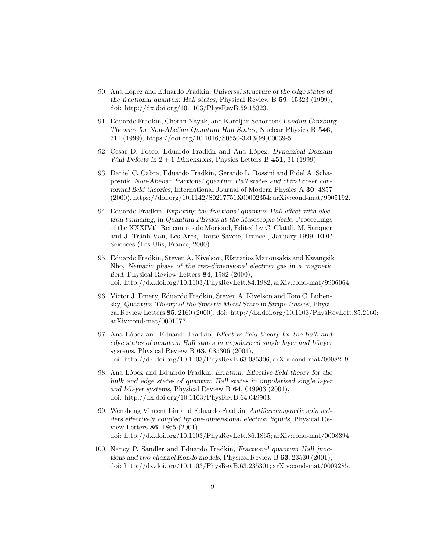- 90. Ana López and Eduardo Fradkin, Universal structure of the edge states of the fractional quantum Hall states, Physical Review B 59, 15323 (1999), doi: http://dx.doi.org/10.1103/PhysRevB.59.15323.
- 91. Eduardo Fradkin, Chetan Nayak, and Kareljan Schoutens Landau-Ginzburg Theories for Non-Abelian Quantum Hall States, Nuclear Physics B 546, 711 (1999), https://doi.org/10.1016/S0550-3213(99)00039-5.
- 92. Cesar D. Fosco, Eduardo Fradkin and Ana López, Dynamical Domain Wall Defects in  $2 + 1$  Dimensions, Physics Letters B 451, 31 (1999).
- 93. Daniel C. Cabra, Eduardo Fradkin, Gerardo L. Rossini and Fidel A. Schaposnik, Non-Abelian fractional quantum Hall states and chiral coset conformal field theories, International Journal of Modern Physics A 30, 4857 (2000), https://doi.org/10.1142/S0217751X00002354; arXiv:cond-mat/9905192.
- 94. Eduardo Fradkin, Exploring the fractional quantum Hall effect with electron tunneling, in Quantum Physics at the Mesoscopic Scale, Proceedings of the XXXIVth Rencontres de Moriond, Edited by C. Glattli, M. Sanquer and J. Trânh Vân, Les Arcs, Haute Savoie, France, January 1999, EDP Sciences (Les Ulis, France, 2000).
- 95. Eduardo Fradkin, Steven A. Kivelson, Efstratios Manousakis and Kwangsik Nho, Nematic phase of the two-dimensional electron gas in a magnetic field, Physical Review Letters 84, 1982 (2000), doi: http://dx.doi.org/10.1103/PhysRevLett.84.1982; arXiv:cond-mat/9906064.
- 96. Victor J. Emery, Eduardo Fradkin, Steven A. Kivelson and Tom C. Lubensky, Quantum Theory of the Smectic Metal State in Stripe Phases, Physical Review Letters 85, 2160 (2000), doi: http://dx.doi.org/10.1103/PhysRevLett.85.2160; arXiv:cond-mat/0001077.
- 97. Ana López and Eduardo Fradkin, *Effective field theory for the bulk and* edge states of quantum Hall states in unpolarized single layer and bilayer systems, Physical Review B 63, 085306 (2001), doi: http://dx.doi.org/10.1103/PhysRevB.63.085306; arXiv:cond-mat/0008219.
- 98. Ana López and Eduardo Fradkin, Erratum: Effective field theory for the bulk and edge states of quantum Hall states in unpolarized single layer and bilayer systems, Physical Review B 64, 049903 (2001), doi: http://dx.doi.org/10.1103/PhysRevB.64.049903.
- 99. Wensheng Vincent Liu and Eduardo Fradkin, Antiferromagnetic spin ladders effectively coupled by one-dimensional electron liquids, Physical Review Letters 86, 1865 (2001), doi: http://dx.doi.org/10.1103/PhysRevLett.86.1865; arXiv:cond-mat/0008394.
- 100. Nancy P. Sandler and Eduardo Fradkin, Fractional quantum Hall junctions and two-channel Kondo models, Physical Review B 63, 23530 (2001), doi: http://dx.doi.org/10.1103/PhysRevB.63.235301; arXiv:cond-mat/0009285.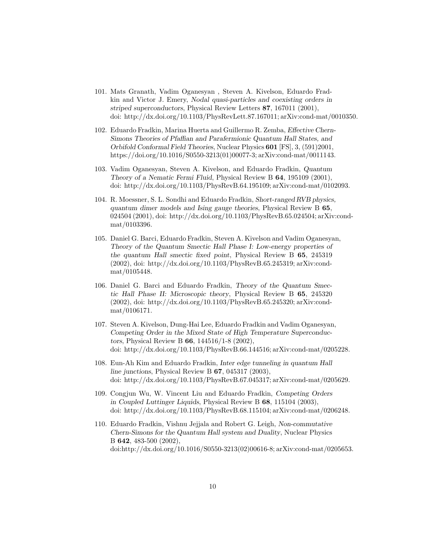- 101. Mats Granath, Vadim Oganesyan , Steven A. Kivelson, Eduardo Fradkin and Victor J. Emery, Nodal quasi-particles and coexisting orders in striped superconductors, Physical Review Letters 87, 167011 (2001), doi: http://dx.doi.org/10.1103/PhysRevLett.87.167011; arXiv:cond-mat/0010350.
- 102. Eduardo Fradkin, Marina Huerta and Guillermo R. Zemba, Effective Chern-Simons Theories of Pfaffian and Parafermionic Quantum Hall States, and Orbifold Conformal Field Theories, Nuclear Physics 601 [FS], 3, (591)2001, https://doi.org/10.1016/S0550-3213(01)00077-3; arXiv:cond-mat/0011143.
- 103. Vadim Oganesyan, Steven A. Kivelson, and Eduardo Fradkin, Quantum Theory of a Nematic Fermi Fluid, Physical Review B 64, 195109 (2001), doi: http://dx.doi.org/10.1103/PhysRevB.64.195109; arXiv:cond-mat/0102093.
- 104. R. Moessner, S. L. Sondhi and Eduardo Fradkin, Short-ranged RVB physics, quantum dimer models and Ising gauge theories, Physical Review B 65, 024504 (2001), doi: http://dx.doi.org/10.1103/PhysRevB.65.024504; arXiv:condmat/0103396.
- 105. Daniel G. Barci, Eduardo Fradkin, Steven A. Kivelson and Vadim Oganesyan, Theory of the Quantum Smectic Hall Phase I: Low-energy properties of the quantum Hall smectic fixed point, Physical Review B 65, 245319 (2002), doi: http://dx.doi.org/10.1103/PhysRevB.65.245319; arXiv:condmat/0105448.
- 106. Daniel G. Barci and Eduardo Fradkin, Theory of the Quantum Smectic Hall Phase II: Microscopic theory, Physical Review B 65, 245320 (2002), doi: http://dx.doi.org/10.1103/PhysRevB.65.245320; arXiv:condmat/0106171.
- 107. Steven A. Kivelson, Dung-Hai Lee, Eduardo Fradkin and Vadim Oganesyan, Competing Order in the Mixed State of High Temperature Superconductors, Physical Review B 66, 144516/1-8 (2002), doi: http://dx.doi.org/10.1103/PhysRevB.66.144516; arXiv:cond-mat/0205228.
- 108. Eun-Ah Kim and Eduardo Fradkin, Inter edge tunneling in quantum Hall line junctions, Physical Review B  $67$ , 045317 (2003), doi: http://dx.doi.org/10.1103/PhysRevB.67.045317; arXiv:cond-mat/0205629.
- 109. Congjun Wu, W. Vincent Liu and Eduardo Fradkin, Competing Orders in Coupled Luttinger Liquids, Physical Review B 68, 115104 (2003), doi: http://dx.doi.org/10.1103/PhysRevB.68.115104; arXiv:cond-mat/0206248.
- 110. Eduardo Fradkin, Vishnu Jejjala and Robert G. Leigh, Non-commutative Chern-Simons for the Quantum Hall system and Duality, Nuclear Physics B 642, 483-500 (2002), doi:http://dx.doi.org/10.1016/S0550-3213(02)00616-8; arXiv:cond-mat/0205653.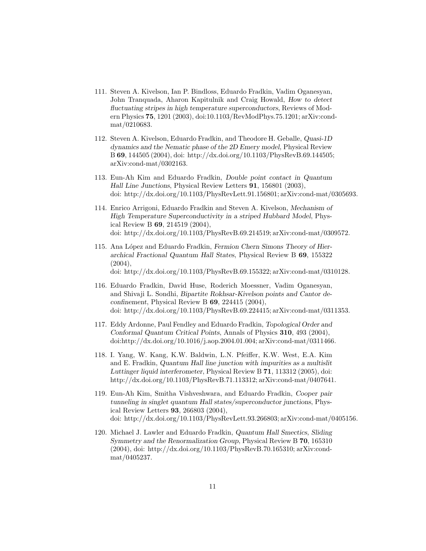- 111. Steven A. Kivelson, Ian P. Bindloss, Eduardo Fradkin, Vadim Oganesyan, John Tranquada, Aharon Kapitulnik and Craig Howald, How to detect fluctuating stripes in high temperature superconductors, Reviews of Modern Physics 75, 1201 (2003), doi:10.1103/RevModPhys.75.1201; arXiv:condmat/0210683.
- 112. Steven A. Kivelson, Eduardo Fradkin, and Theodore H. Geballe, Quasi-1D dynamics and the Nematic phase of the 2D Emery model, Physical Review B 69, 144505 (2004), doi: http://dx.doi.org/10.1103/PhysRevB.69.144505; arXiv:cond-mat/0302163.
- 113. Eun-Ah Kim and Eduardo Fradkin, Double point contact in Quantum Hall Line Junctions, Physical Review Letters 91, 156801 (2003), doi: http://dx.doi.org/10.1103/PhysRevLett.91.156801; arXiv:cond-mat/0305693.
- 114. Enrico Arrigoni, Eduardo Fradkin and Steven A. Kivelson, Mechanism of High Temperature Superconductivity in a striped Hubbard Model, Physical Review B 69, 214519 (2004), doi: http://dx.doi.org/10.1103/PhysRevB.69.214519; arXiv:cond-mat/0309572.
- 115. Ana López and Eduardo Fradkin, Fermion Chern Simons Theory of Hierarchical Fractional Quantum Hall States, Physical Review B 69, 155322 (2004), doi: http://dx.doi.org/10.1103/PhysRevB.69.155322; arXiv:cond-mat/0310128.
- 116. Eduardo Fradkin, David Huse, Roderich Moessner, Vadim Oganesyan, and Shivaji L. Sondhi, Bipartite Rokhsar-Kivelson points and Cantor deconfinement, Physical Review B  $69$ , 224415 (2004), doi: http://dx.doi.org/10.1103/PhysRevB.69.224415; arXiv:cond-mat/0311353.
- 117. Eddy Ardonne, Paul Fendley and Eduardo Fradkin, Topological Order and Conformal Quantum Critical Points, Annals of Physics 310, 493 (2004), doi:http://dx.doi.org/10.1016/j.aop.2004.01.004; arXiv:cond-mat/0311466.
- 118. I. Yang, W. Kang, K.W. Baldwin, L.N. Pfeiffer, K.W. West, E.A. Kim and E. Fradkin, Quantum Hall line junction with impurities as a multislit Luttinger liquid interferometer, Physical Review B 71, 113312 (2005), doi: http://dx.doi.org/10.1103/PhysRevB.71.113312; arXiv:cond-mat/0407641.
- 119. Eun-Ah Kim, Smitha Vishveshwara, and Eduardo Fradkin, Cooper pair tunneling in singlet quantum Hall states/superconductor junctions, Physical Review Letters 93, 266803 (2004), doi: http://dx.doi.org/10.1103/PhysRevLett.93.266803; arXiv:cond-mat/0405156.
- 120. Michael J. Lawler and Eduardo Fradkin, Quantum Hall Smectics, Sliding Symmetry and the Renormalization Group, Physical Review B 70, 165310 (2004), doi: http://dx.doi.org/10.1103/PhysRevB.70.165310; arXiv:condmat/0405237.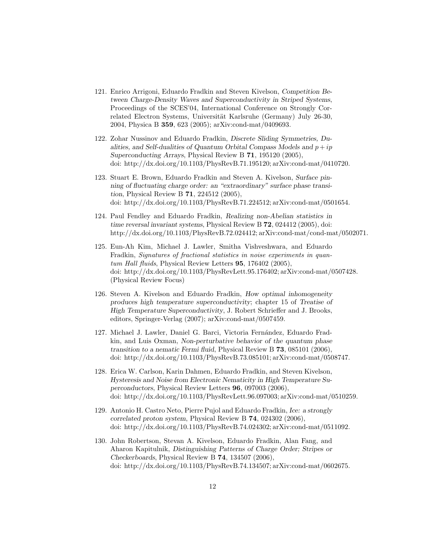- 121. Enrico Arrigoni, Eduardo Fradkin and Steven Kivelson, Competition Between Charge-Density Waves and Superconductivity in Striped Systems, Proceedings of the SCES'04, International Conference on Strongly Correlated Electron Systems, Universität Karlsruhe (Germany) July 26-30, 2004, Physica B 359, 623 (2005); arXiv:cond-mat/0409693.
- 122. Zohar Nussinov and Eduardo Fradkin, Discrete Sliding Symmetries, Dualities, and Self-dualities of Quantum Orbital Compass Models and  $p + ip$ Superconducting Arrays, Physical Review B 71, 195120 (2005), doi: http://dx.doi.org/10.1103/PhysRevB.71.195120; arXiv:cond-mat/0410720.
- 123. Stuart E. Brown, Eduardo Fradkin and Steven A. Kivelson, Surface pinning of fluctuating charge order: an "extraordinary" surface phase transition, Physical Review B 71, 224512 (2005), doi: http://dx.doi.org/10.1103/PhysRevB.71.224512; arXiv:cond-mat/0501654.
- 124. Paul Fendley and Eduardo Fradkin, Realizing non-Abelian statistics in time reversal invariant systems, Physical Review B 72, 024412 (2005), doi: http://dx.doi.org/10.1103/PhysRevB.72.024412; arXiv:cond-mat/cond-mat/0502071.
- 125. Eun-Ah Kim, Michael J. Lawler, Smitha Vishveshwara, and Eduardo Fradkin, Signatures of fractional statistics in noise experiments in quantum Hall fluids, Physical Review Letters 95, 176402 (2005), doi: http://dx.doi.org/10.1103/PhysRevLett.95.176402; arXiv:cond-mat/0507428. (Physical Review Focus)
- 126. Steven A. Kivelson and Eduardo Fradkin, How optimal inhomogeneity produces high temperature superconductivity; chapter 15 of Treatise of High Temperature Superconductivity, J. Robert Schrieffer and J. Brooks, editors, Springer-Verlag (2007); arXiv:cond-mat/0507459.
- 127. Michael J. Lawler, Daniel G. Barci, Victoria Fernández, Eduardo Fradkin, and Luis Oxman, Non-perturbative behavior of the quantum phase transition to a nematic Fermi fluid, Physical Review B 73, 085101 (2006), doi: http://dx.doi.org/10.1103/PhysRevB.73.085101; arXiv:cond-mat/0508747.
- 128. Erica W. Carlson, Karin Dahmen, Eduardo Fradkin, and Steven Kivelson, Hysteresis and Noise from Electronic Nematicity in High Temperature Superconductors, Physical Review Letters 96, 097003 (2006), doi: http://dx.doi.org/10.1103/PhysRevLett.96.097003; arXiv:cond-mat/0510259.
- 129. Antonio H. Castro Neto, Pierre Pujol and Eduardo Fradkin, Ice: a strongly correlated proton system, Physical Review B 74, 024302 (2006), doi: http://dx.doi.org/10.1103/PhysRevB.74.024302; arXiv:cond-mat/0511092.
- 130. John Robertson, Stevan A. Kivelson, Eduardo Fradkin, Alan Fang, and Aharon Kapitulnik, Distinguishing Patterns of Charge Order; Stripes or Checkerboards, Physical Review B 74, 134507 (2006), doi: http://dx.doi.org/10.1103/PhysRevB.74.134507; arXiv:cond-mat/0602675.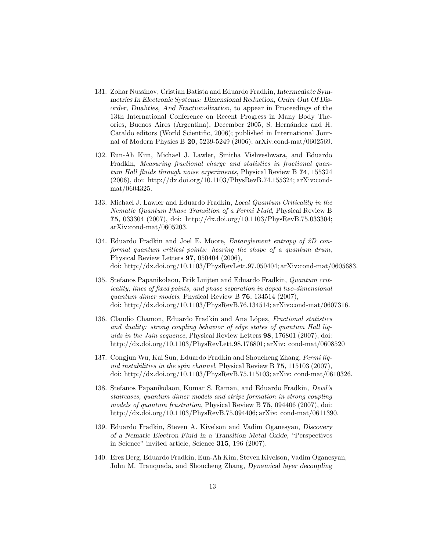- 131. Zohar Nussinov, Cristian Batista and Eduardo Fradkin, Intermediate Symmetries In Electronic Systems: Dimensional Reduction, Order Out Of Disorder, Dualities, And Fractionalization, to appear in Proceedings of the 13th International Conference on Recent Progress in Many Body Theories, Buenos Aires (Argentina), December 2005, S. Hernández and H. Cataldo editors (World Scientific, 2006); published in International Journal of Modern Physics B 20, 5239-5249 (2006); arXiv:cond-mat/0602569.
- 132. Eun-Ah Kim, Michael J. Lawler, Smitha Vishveshwara, and Eduardo Fradkin, Measuring fractional charge and statistics in fractional quantum Hall fluids through noise experiments, Physical Review B 74, 155324 (2006), doi: http://dx.doi.org/10.1103/PhysRevB.74.155324; arXiv:condmat/0604325.
- 133. Michael J. Lawler and Eduardo Fradkin, Local Quantum Criticality in the Nematic Quantum Phase Transition of a Fermi Fluid, Physical Review B 75, 033304 (2007), doi: http://dx.doi.org/10.1103/PhysRevB.75.033304; arXiv:cond-mat/0605203.
- 134. Eduardo Fradkin and Joel E. Moore, Entanglement entropy of 2D conformal quantum critical points: hearing the shape of a quantum drum, Physical Review Letters 97, 050404 (2006), doi: http://dx.doi.org/10.1103/PhysRevLett.97.050404; arXiv:cond-mat/0605683.
- 135. Stefanos Papanikolaou, Erik Luijten and Eduardo Fradkin, Quantum criticality, lines of fixed points, and phase separation in doped two-dimensional quantum dimer models, Physical Review B 76, 134514 (2007), doi: http://dx.doi.org/10.1103/PhysRevB.76.134514; arXiv:cond-mat/0607316.
- 136. Claudio Chamon, Eduardo Fradkin and Ana López, *Fractional statistics* and duality: strong coupling behavior of edge states of quantum Hall liquids in the Jain sequence, Physical Review Letters 98, 176801 (2007), doi: http://dx.doi.org/10.1103/PhysRevLett.98.176801; arXiv: cond-mat/0608520
- 137. Congjun Wu, Kai Sun, Eduardo Fradkin and Shoucheng Zhang, Fermi liquid instabilities in the spin channel, Physical Review B 75, 115103 (2007), doi: http://dx.doi.org/10.1103/PhysRevB.75.115103; arXiv: cond-mat/0610326.
- 138. Stefanos Papanikolaou, Kumar S. Raman, and Eduardo Fradkin, Devil's staircases, quantum dimer models and stripe formation in strong coupling models of quantum frustration, Physical Review B 75, 094406 (2007), doi: http://dx.doi.org/10.1103/PhysRevB.75.094406; arXiv: cond-mat/0611390.
- 139. Eduardo Fradkin, Steven A. Kivelson and Vadim Oganesyan, Discovery of a Nematic Electron Fluid in a Transition Metal Oxide, "Perspectives in Science" invited article, Science 315, 196 (2007).
- 140. Erez Berg, Eduardo Fradkin, Eun-Ah Kim, Steven Kivelson, Vadim Oganesyan, John M. Tranquada, and Shoucheng Zhang, Dynamical layer decoupling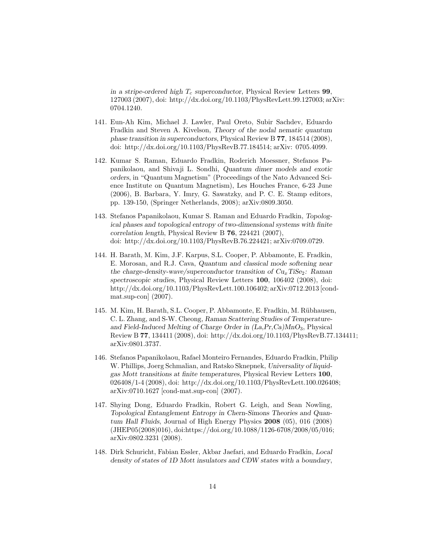in a stripe-ordered high  $T_c$  superconductor, Physical Review Letters 99, 127003 (2007), doi: http://dx.doi.org/10.1103/PhysRevLett.99.127003; arXiv: 0704.1240.

- 141. Eun-Ah Kim, Michael J. Lawler, Paul Oreto, Subir Sachdev, Eduardo Fradkin and Steven A. Kivelson, Theory of the nodal nematic quantum phase transition in superconductors, Physical Review B 77, 184514 (2008), doi: http://dx.doi.org/10.1103/PhysRevB.77.184514; arXiv: 0705.4099.
- 142. Kumar S. Raman, Eduardo Fradkin, Roderich Moessner, Stefanos Papanikolaou, and Shivaji L. Sondhi, Quantum dimer models and exotic orders, in "Quantum Magnetism" (Proceedings of the Nato Advanced Science Institute on Quantum Magnetism), Les Houches France, 6-23 June (2006), B. Barbara, Y. Imry, G. Sawatzky, and P. C. E. Stamp editors, pp. 139-150, (Springer Netherlands, 2008); arXiv:0809.3050.
- 143. Stefanos Papanikolaou, Kumar S. Raman and Eduardo Fradkin, Topological phases and topological entropy of two-dimensional systems with finite correlation length, Physical Review B 76, 224421 (2007), doi: http://dx.doi.org/10.1103/PhysRevB.76.224421; arXiv:0709.0729.
- 144. H. Barath, M. Kim, J.F. Karpus, S.L. Cooper, P. Abbamonte, E. Fradkin, E. Morosan, and R.J. Cava, Quantum and classical mode softening near the charge-density-wave/superconductor transition of  $Cu<sub>x</sub>TiSe<sub>2</sub>$ : Raman spectroscopic studies, Physical Review Letters 100, 106402 (2008), doi: http://dx.doi.org/10.1103/PhysRevLett.100.106402; arXiv:0712.2013 [condmat.sup-con] (2007).
- 145. M. Kim, H. Barath, S.L. Cooper, P. Abbamonte, E. Fradkin, M. Rübhausen, C. L. Zhang, and S-W. Cheong, Raman Scattering Studies of Temperatureand Field-Induced Melting of Charge Order in  $(La, Pr, Ca)MnO<sub>3</sub>$ , Physical Review B 77, 134411 (2008), doi: http://dx.doi.org/10.1103/PhysRevB.77.134411; arXiv:0801.3737.
- 146. Stefanos Papanikolaou, Rafael Monteiro Fernandes, Eduardo Fradkin, Philip W. Phillips, Joerg Schmalian, and Ratsko Sknepnek, Universality of liquidgas Mott transitions at finite temperatures, Physical Review Letters 100, 026408/1-4 (2008), doi: http://dx.doi.org/10.1103/PhysRevLett.100.026408; arXiv:0710.1627 [cond-mat.sup-con] (2007).
- 147. Shying Dong, Eduardo Fradkin, Robert G. Leigh, and Sean Nowling, Topological Entanglement Entropy in Chern-Simons Theories and Quantum Hall Fluids, Journal of High Energy Physics 2008 (05), 016 (2008) (JHEP05(2008)016), doi:https://doi.org/10.1088/1126-6708/2008/05/016; arXiv:0802.3231 (2008).
- 148. Dirk Schuricht, Fabian Essler, Akbar Jaefari, and Eduardo Fradkin, Local density of states of 1D Mott insulators and CDW states with a boundary,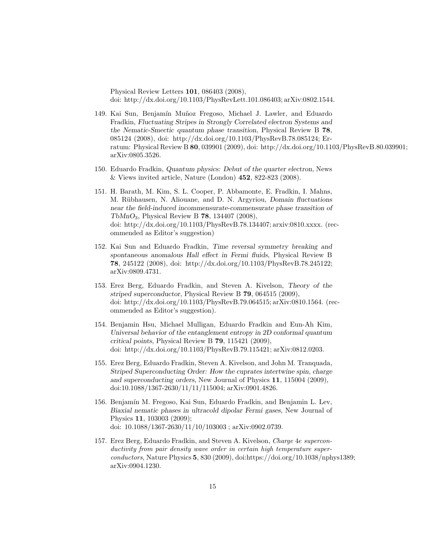Physical Review Letters 101, 086403 (2008), doi: http://dx.doi.org/10.1103/PhysRevLett.101.086403; arXiv:0802.1544.

- 149. Kai Sun, Benjamín Muñoz Fregoso, Michael J. Lawler, and Eduardo Fradkin, Fluctuating Stripes in Strongly Correlated electron Systems and the Nematic-Smectic quantum phase transition, Physical Review B 78, 085124 (2008), doi: http://dx.doi.org/10.1103/PhysRevB.78.085124; Erratum: Physical Review B 80, 039901 (2009), doi: http://dx.doi.org/10.1103/PhysRevB.80.039901; arXiv:0805.3526.
- 150. Eduardo Fradkin, Quantum physics: Debut of the quarter electron, News & Views invited article, Nature (London) 452, 822-823 (2008).
- 151. H. Barath, M. Kim, S. L. Cooper, P. Abbamonte, E. Fradkin, I. Mahns, M. Rübhausen, N. Aliouane, and D. N. Argyriou, *Domain fluctuations* near the field-induced incommensurate-commensurate phase transition of  $TbMnO_3$ , Physical Review B **78**, 134407 (2008), doi: http://dx.doi.org/10.1103/PhysRevB.78.134407; arxiv:0810.xxxx. (recommended as Editor's suggestion)
- 152. Kai Sun and Eduardo Fradkin, Time reversal symmetry breaking and spontaneous anomalous Hall effect in Fermi fluids, Physical Review B 78, 245122 (2008), doi: http://dx.doi.org/10.1103/PhysRevB.78.245122; arXiv:0809.4731.
- 153. Erez Berg, Eduardo Fradkin, and Steven A. Kivelson, Theory of the striped superconductor, Physical Review B 79, 064515 (2009), doi: http://dx.doi.org/10.1103/PhysRevB.79.064515; arXiv:0810.1564. (recommended as Editor's suggestion).
- 154. Benjamin Hsu, Michael Mulligan, Eduardo Fradkin and Eun-Ah Kim, Universal behavior of the entanglement entropy in 2D conformal quantum critical points, Physical Review B 79, 115421 (2009), doi: http://dx.doi.org/10.1103/PhysRevB.79.115421; arXiv:0812.0203.
- 155. Erez Berg, Eduardo Fradkin, Steven A. Kivelson, and John M. Tranquada, Striped Superconducting Order: How the cuprates intertwine spin, charge and superconducting orders, New Journal of Physics 11, 115004 (2009), doi:10.1088/1367-2630/11/11/115004; arXiv:0901.4826.
- 156. Benjamín M. Fregoso, Kai Sun, Eduardo Fradkin, and Benjamin L. Lev, Biaxial nematic phases in ultracold dipolar Fermi gases, New Journal of Physics 11, 103003 (2009); doi: 10.1088/1367-2630/11/10/103003 ; arXiv:0902.0739.
- 157. Erez Berg, Eduardo Fradkin, and Steven A. Kivelson, Charge 4e superconductivity from pair density wave order in certain high temperature superconductors, Nature Physics 5, 830 (2009), doi:https://doi.org/10.1038/nphys1389; arXiv:0904.1230.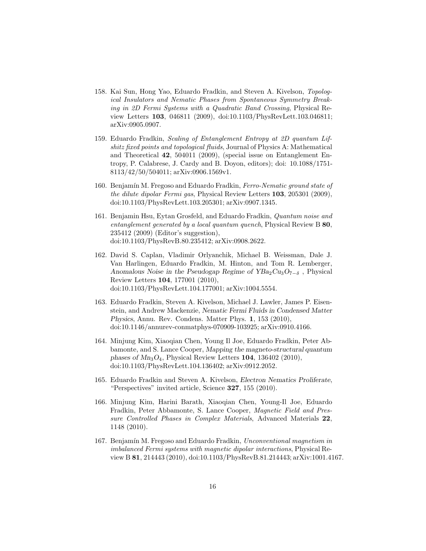- 158. Kai Sun, Hong Yao, Eduardo Fradkin, and Steven A. Kivelson, Topological Insulators and Nematic Phases from Spontaneous Symmetry Breaking in 2D Fermi Systems with a Quadratic Band Crossing, Physical Review Letters 103, 046811 (2009), doi:10.1103/PhysRevLett.103.046811; arXiv:0905.0907.
- 159. Eduardo Fradkin, Scaling of Entanglement Entropy at 2D quantum Lifshitz fixed points and topological fluids, Journal of Physics A: Mathematical and Theoretical 42, 504011 (2009), (special issue on Entanglement Entropy, P. Calabrese, J. Cardy and B. Doyon, editors); doi: 10.1088/1751- 8113/42/50/504011; arXiv:0906.1569v1.
- 160. Benjamín M. Fregoso and Eduardo Fradkin, Ferro-Nematic ground state of the dilute dipolar Fermi gas, Physical Review Letters 103, 205301 (2009), doi:10.1103/PhysRevLett.103.205301; arXiv:0907.1345.
- 161. Benjamin Hsu, Eytan Grosfeld, and Eduardo Fradkin, Quantum noise and entanglement generated by a local quantum quench, Physical Review B 80, 235412 (2009) (Editor's suggestion), doi:10.1103/PhysRevB.80.235412; arXiv:0908.2622.
- 162. David S. Caplan, Vladimir Orlyanchik, Michael B. Weissman, Dale J. Van Harlingen, Eduardo Fradkin, M. Hinton, and Tom R. Lemberger, Anomalous Noise in the Pseudogap Regime of  $YBa<sub>2</sub>Cu<sub>3</sub>O<sub>7−δ</sub>$ , Physical Review Letters 104, 177001 (2010), doi:10.1103/PhysRevLett.104.177001; arXiv:1004.5554.
- 163. Eduardo Fradkin, Steven A. Kivelson, Michael J. Lawler, James P. Eisenstein, and Andrew Mackenzie, Nematic Fermi Fluids in Condensed Matter Physics, Annu. Rev. Condens. Matter Phys. 1, 153 (2010), doi:10.1146/annurev-conmatphys-070909-103925; arXiv:0910.4166.
- 164. Minjung Kim, Xiaoqian Chen, Young Il Joe, Eduardo Fradkin, Peter Abbamonte, and S. Lance Cooper, Mapping the magneto-structural quantum phases of  $Mn_3O_4$ , Physical Review Letters 104, 136402 (2010), doi:10.1103/PhysRevLett.104.136402; arXiv:0912.2052.
- 165. Eduardo Fradkin and Steven A. Kivelson, Electron Nematics Proliferate, "Perspectives" invited article, Science 327, 155 (2010).
- 166. Minjung Kim, Harini Barath, Xiaoqian Chen, Young-Il Joe, Eduardo Fradkin, Peter Abbamonte, S. Lance Cooper, Magnetic Field and Pressure Controlled Phases in Complex Materials, Advanced Materials 22, 1148 (2010).
- 167. Benjamín M. Fregoso and Eduardo Fradkin, Unconventional magnetism in imbalanced Fermi systems with magnetic dipolar interactions, Physical Review B 81, 214443 (2010), doi:10.1103/PhysRevB.81.214443; arXiv:1001.4167.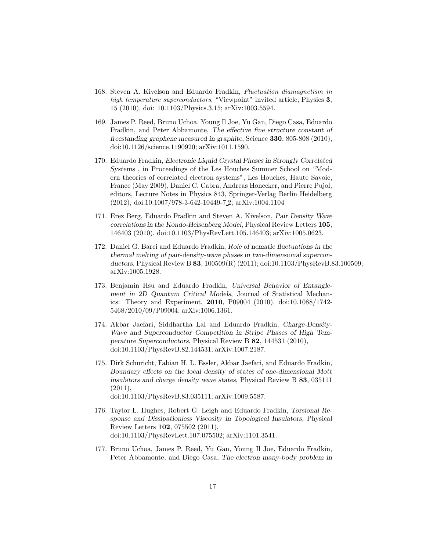- 168. Steven A. Kivelson and Eduardo Fradkin, Fluctuation diamagnetism in high temperature superconductors, "Viewpoint" invited article, Physics 3, 15 (2010), doi: 10.1103/Physics.3.15; arXiv:1003.5594.
- 169. James P. Reed, Bruno Uchoa, Young Il Joe, Yu Gan, Diego Casa, Eduardo Fradkin, and Peter Abbamonte, The effective fine structure constant of freestanding graphene measured in graphite, Science 330, 805-808 (2010), doi:10.1126/science.1190920; arXiv:1011.1590.
- 170. Eduardo Fradkin, Electronic Liquid Crystal Phases in Strongly Correlated Systems , in Proceedings of the Les Houches Summer School on "Modern theories of correlated electron systems", Les Houches, Haute Savoie, France (May 2009), Daniel C. Cabra, Andreas Honecker, and Pierre Pujol, editors, Lecture Notes in Physics 843, Springer-Verlag Berlin Heidelberg (2012), doi:10.1007/978-3-642-10449-7 2; arXiv:1004.1104
- 171. Erez Berg, Eduardo Fradkin and Steven A. Kivelson, Pair Density Wave correlations in the Kondo-Heisenberg Model, Physical Review Letters 105, 146403 (2010), doi:10.1103/PhysRevLett.105.146403; arXiv:1005.0623.
- 172. Daniel G. Barci and Eduardo Fradkin, Role of nematic fluctuations in the thermal melting of pair-density-wave phases in two-dimensional superconductors, Physical Review B 83, 100509(R) (2011); doi:10.1103/PhysRevB.83.100509; arXiv:1005.1928.
- 173. Benjamin Hsu and Eduardo Fradkin, Universal Behavior of Entanglement in 2D Quantum Critical Models, Journal of Statistical Mechanics: Theory and Experiment, 2010, P09004 (2010), doi:10.1088/1742- 5468/2010/09/P09004; arXiv:1006.1361.
- 174. Akbar Jaefari, Siddhartha Lal and Eduardo Fradkin, Charge-Density-Wave and Superconductor Competition in Stripe Phases of High Temperature Superconductors, Physical Review B 82, 144531 (2010), doi:10.1103/PhysRevB.82.144531; arXiv:1007.2187.
- 175. Dirk Schuricht, Fabian H. L. Essler, Akbar Jaefari, and Eduardo Fradkin, Boundary effects on the local density of states of one-dimensional Mott insulators and charge density wave states, Physical Review B 83, 035111  $(2011),$ doi:10.1103/PhysRevB.83.035111; arXiv:1009.5587.
- 176. Taylor L. Hughes, Robert G. Leigh and Eduardo Fradkin, Torsional Response and Dissipationless Viscosity in Topological Insulators, Physical Review Letters 102, 075502 (2011),
	- doi:10.1103/PhysRevLett.107.075502; arXiv:1101.3541.
- 177. Bruno Uchoa, James P. Reed, Yu Gan, Young Il Joe, Eduardo Fradkin, Peter Abbamonte, and Diego Casa, The electron many-body problem in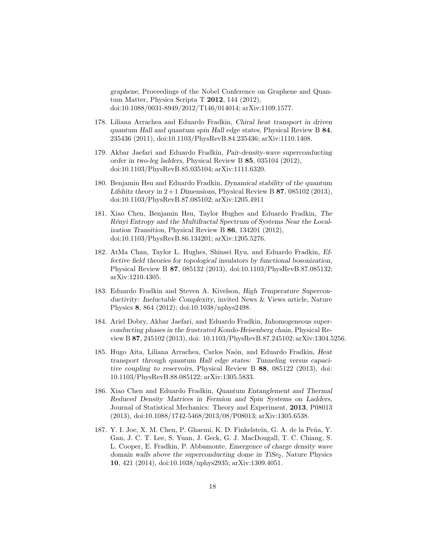graphene, Proceedings of the Nobel Conference on Graphene and Quantum Matter, Physica Scripta T 2012, 144 (2012), doi:10.1088/0031-8949/2012/T146/014014; arXiv:1109.1577.

- 178. Liliana Arrachea and Eduardo Fradkin, Chiral heat transport in driven quantum Hall and quantum spin Hall edge states, Physical Review B 84, 235436 (2011), doi:10.1103/PhysRevB.84.235436; arXiv:1110.1408.
- 179. Akbar Jaefari and Eduardo Fradkin, Pair-density-wave superconducting order in two-leg ladders, Physical Review B 85, 035104 (2012), doi:10.1103/PhysRevB.85.035104; arXiv:1111.6320.
- 180. Benjamin Hsu and Eduardo Fradkin, Dynamical stability of the quantum Lifshitz theory in  $2+1$  Dimensions, Physical Review B 87, 085102 (2013), doi:10.1103/PhysRevB.87.085102; arXiv:1205.4911
- 181. Xiao Chen, Benjamin Hsu, Taylor Hughes and Eduardo Fradkin, The Rényi Entropy and the Multifractal Spectrum of Systems Near the Localization Transition, Physical Review B 86, 134201 (2012), doi:10.1103/PhysRevB.86.134201; arXiv:1205.5276.
- 182. AtMa Chan, Taylor L. Hughes, Shinsei Ryu, and Eduardo Fradkin, Effective field theories for topological insulators by functional bosonization, Physical Review B 87, 085132 (2013), doi:10.1103/PhysRevB.87.085132; arXiv:1210.4305.
- 183. Eduardo Fradkin and Steven A. Kivelson, High Temperature Superconductivity: Ineluctable Complexity, invited News & Views article, Nature Physics 8, 864 (2012); doi:10.1038/nphys2498.
- 184. Ariel Dobry, Akbar Jaefari, and Eduardo Fradkin, Inhomogeneous superconducting phases in the frustrated Kondo-Heisenberg chain, Physical Review B 87, 245102 (2013), doi: 10.1103/PhysRevB.87.245102; arXiv:1304.5256.
- 185. Hugo Aita, Liliana Arrachea, Carlos Naón, and Eduardo Fradkin, Heat transport through quantum Hall edge states: Tunneling versus capacitive coupling to reservoirs, Physical Review B 88, 085122 (2013), doi: 10.1103/PhysRevB.88.085122; arXiv:1305.5833.
- 186. Xiao Chen and Eduardo Fradkin, Quantum Entanglement and Thermal Reduced Density Matrices in Fermion and Spin Systems on Ladders, Journal of Statistical Mechanics: Theory and Experiment, 2013, P08013 (2013), doi:10.1088/1742-5468/2013/08/P08013; arXiv:1305.6538.
- 187. Y. I. Joe, X. M. Chen, P. Ghaemi, K. D. Finkelstein, G. A. de la Peña, Y. Gan, J. C. T. Lee, S. Yuan, J. Geck, G. J. MacDougall, T. C. Chiang, S. L. Cooper, E. Fradkin, P. Abbamonte, Emergence of charge density wave domain walls above the superconducting dome in  $T_iS_{22}$ , Nature Physics 10, 421 (2014), doi:10.1038/nphys2935; arXiv:1309.4051.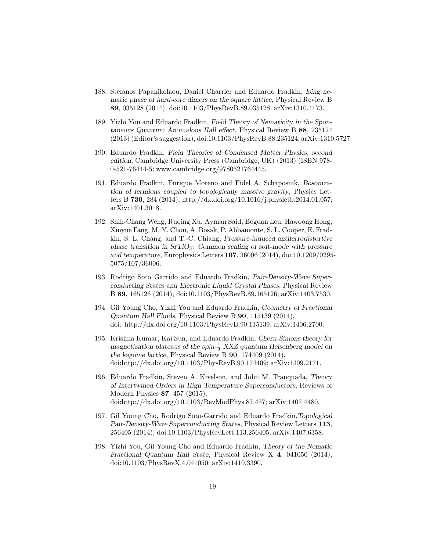- 188. Stefanos Papanikolaou, Daniel Charrier and Eduardo Fradkin, Ising nematic phase of hard-core dimers on the square lattice, Physical Review B 89, 035128 (2014), doi:10.1103/PhysRevB.89.035128; arXiv:1310.4173.
- 189. Yizhi You and Eduardo Fradkin, Field Theory of Nematicity in the Spontaneous Quantum Anomalous Hall effect, Physical Review B 88, 235124 (2013) (Editor's suggestion), doi:10.1103/PhysRevB.88.235124; arXiv:1310.5727.
- 190. Eduardo Fradkin, Field Theories of Condensed Matter Physics, second edition, Cambridge University Press (Cambridge, UK) (2013) (ISBN 978- 0-521-76444-5; www.cambridge.org/9780521764445.
- 191. Eduardo Fradkin, Enrique Moreno and Fidel A. Schaposnik, Bosonization of fermions coupled to topologically massive gravity, Physics Letters B 730, 284 (2014), http://dx.doi.org/10.1016/j.physletb.2014.01.057; arXiv:1401.3018.
- 192. Shih-Chang Weng, Ruqing Xu, Ayman Said, Bogdan Leu, Hawoong Hong, Xinyue Fang, M. Y. Chou, A. Bosak, P. Abbamonte, S. L. Cooper, E. Fradkin, S. L. Chang, and T.-C. Chiang, Pressure-induced antiferrodistortive phase transition in  $SrTiO<sub>3</sub>$ : Common scaling of soft-mode with pressure and temperature, Europhysics Letters 107, 36006 (2014), doi:10.1209/0295- 5075/107/36006.
- 193. Rodrigo Soto Garrido and Eduardo Fradkin, Pair-Density-Wave Superconducting States and Electronic Liquid Crystal Phases, Physical Review B 89, 165126 (2014), doi:10.1103/PhysRevB.89.165126; arXiv:1403.7530.
- 194. Gil Young Cho, Yizhi You and Eduardo Fradkin, Geometry of Fractional Quantum Hall Fluids, Physical Review B 90, 115139 (2014), doi: http://dx.doi.org/10.1103/PhysRevB.90.115139; arXiv:1406.2700.
- 195. Krishna Kumar, Kai Sun, and Eduardo Fradkin, Chern-Simons theory for magnetization plateaus of the spin- $\frac{1}{2}$  XXZ quantum Heisenberg model on the kagome lattice, Physical Review B 90, 174409 (2014), doi:http://dx.doi.org/10.1103/PhysRevB.90.174409; arXiv:1409.2171.
- 196. Eduardo Fradkin, Steven A. Kivelson, and John M. Tranquada, Theory of Intertwined Orders in High Temperature Superconductors, Reviews of Modern Physics 87, 457 (2015), doi:http://dx.doi.org/10.1103/RevModPhys.87.457; arXiv:1407.4480.
- 197. Gil Young Cho, Rodrigo Soto-Garrido and Eduardo Fradkin,Topological Pair-Density-Wave Superconducting States, Physical Review Letters 113, 256405 (2014), doi:10.1103/PhysRevLett.113.256405; arXiv:1407:6358.
- 198. Yizhi You, Gil Young Cho and Eduardo Fradkin, Theory of the Nematic Fractional Quantum Hall State, Physical Review X 4, 041050 (2014), doi:10.1103/PhysRevX.4.041050; arXiv:1410.3390.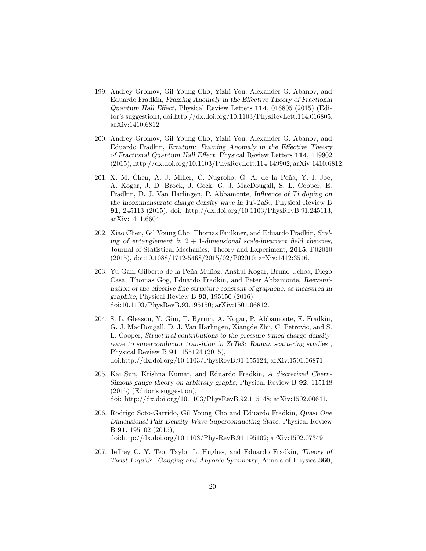- 199. Andrey Gromov, Gil Young Cho, Yizhi You, Alexander G. Abanov, and Eduardo Fradkin, Framing Anomaly in the Effective Theory of Fractional Quantum Hall Effect, Physical Review Letters 114, 016805 (2015) (Editor's suggestion), doi:http://dx.doi.org/10.1103/PhysRevLett.114.016805; arXiv:1410.6812.
- 200. Andrey Gromov, Gil Young Cho, Yizhi You, Alexander G. Abanov, and Eduardo Fradkin, Erratum: Framing Anomaly in the Effective Theory of Fractional Quantum Hall Effect, Physical Review Letters 114, 149902 (2015), http://dx.doi.org/10.1103/PhysRevLett.114.149902; arXiv:1410.6812.
- 201. X. M. Chen, A. J. Miller, C. Nugroho, G. A. de la Peña, Y. I. Joe, A. Kogar, J. D. Brock, J. Geck, G. J. MacDougall, S. L. Cooper, E. Fradkin, D. J. Van Harlingen, P. Abbamonte, Influence of Ti doping on the incommensurate charge density wave in  $1T$ -TaS<sub>2</sub>, Physical Review B 91, 245113 (2015), doi: http://dx.doi.org/10.1103/PhysRevB.91.245113; arXiv:1411.6604.
- 202. Xiao Chen, Gil Young Cho, Thomas Faulkner, and Eduardo Fradkin, Scaling of entanglement in  $2 + 1$ -dimensional scale-invariant field theories, Journal of Statistical Mechanics: Theory and Experiment, 2015, P02010 (2015), doi:10.1088/1742-5468/2015/02/P02010; arXiv:1412:3546.
- 203. Yu Gan, Gilberto de la Peña Muñoz, Anshul Kogar, Bruno Uchoa, Diego Casa, Thomas Gog, Eduardo Fradkin, and Peter Abbamonte, Reexamination of the effective fine structure constant of graphene, as measured in graphite, Physical Review B  $93, 195150$  (2016), doi:10.1103/PhysRevB.93.195150; arXiv:1501.06812.
- 204. S. L. Gleason, Y. Gim, T. Byrum, A. Kogar, P. Abbamonte, E. Fradkin, G. J. MacDougall, D. J. Van Harlingen, Xiangde Zhu, C. Petrovic, and S. L. Cooper, Structural contributions to the pressure-tuned charge-densitywave to superconductor transition in ZrTe3: Raman scattering studies, Physical Review B 91, 155124 (2015), doi:http://dx.doi.org/10.1103/PhysRevB.91.155124; arXiv:1501.06871.
- 205. Kai Sun, Krishna Kumar, and Eduardo Fradkin, A discretized Chern-Simons gauge theory on arbitrary graphs, Physical Review B 92, 115148 (2015) (Editor's suggestion), doi: http://dx.doi.org/10.1103/PhysRevB.92.115148; arXiv:1502.00641.
- 206. Rodrigo Soto-Garrido, Gil Young Cho and Eduardo Fradkin, Quasi One Dimensional Pair Density Wave Superconducting State, Physical Review B 91, 195102 (2015), doi:http://dx.doi.org/10.1103/PhysRevB.91.195102; arXiv:1502.07349.
- 207. Jeffrey C. Y. Teo, Taylor L. Hughes, and Eduardo Fradkin, Theory of Twist Liquids: Gauging and Anyonic Symmetry, Annals of Physics 360,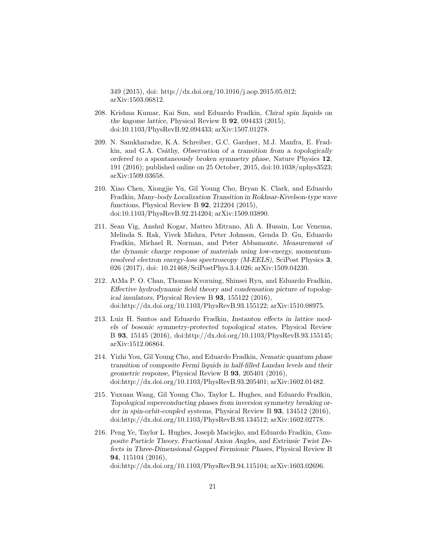349 (2015), doi: http://dx.doi.org/10.1016/j.aop.2015.05.012; arXiv:1503.06812.

- 208. Krishna Kumar, Kai Sun, and Eduardo Fradkin, Chiral spin liquids on the kagome lattice, Physical Review B 92, 094433 (2015), doi:10.1103/PhysRevB.92.094433; arXiv:1507.01278.
- 209. N. Samkharadze, K.A. Schreiber, G.C. Gardner, M.J. Manfra, E. Fradkin, and G.A. Csáthy, Observation of a transition from a topologically ordered to a spontaneously broken symmetry phase, Nature Physics 12, 191 (2016); published online on 25 October, 2015, doi:10.1038/nphys3523; arXiv:1509.03658.
- 210. Xiao Chen, Xiongjie Yu, Gil Young Cho, Bryan K. Clark, and Eduardo Fradkin, Many-body Localization Transition in Rokhsar-Kivelson-type wave functions, Physical Review B 92, 212204 (2015), doi:10.1103/PhysRevB.92.214204; arXiv:1509.03890.
- 211. Sean Vig, Anshul Kogar, Matteo Mitrano, Ali A. Husain, Luc Venema, Melinda S. Rak, Vivek Mishra, Peter Johnson, Genda D. Gu, Eduardo Fradkin, Michael R. Norman, and Peter Abbamonte, Measurement of the dynamic charge response of materials using low-energy, momentumresolved electron energy-loss spectroscopy (M-EELS), SciPost Physics 3, 026 (2017), doi: 10.21468/SciPostPhys.3.4.026; arXiv:1509.04230.
- 212. AtMa P. O. Chan, Thomas Kvorning, Shinsei Ryu, and Eduardo Fradkin, Effective hydrodynamic field theory and condensation picture of topological insulators, Physical Review B 93, 155122 (2016), doi:http://dx.doi.org/10.1103/PhysRevB.93.155122; arXiv:1510.08975.
- 213. Luiz H. Santos and Eduardo Fradkin, Instanton effects in lattice models of bosonic symmetry-protected topological states, Physical Review B 93, 15145 (2016), doi:http://dx.doi.org/10.1103/PhysRevB.93.155145; arXiv:1512.06864.
- 214. Yizhi You, Gil Young Cho, and Eduardo Fradkin, Nematic quantum phase transition of composite Fermi liquids in half-filled Landau levels and their geometric response, Physical Review B 93, 205401 (2016), doi:http://dx.doi.org/10.1103/PhysRevB.93.205401; arXiv:1602.01482.
- 215. Yuxuan Wang, Gil Young Cho, Taylor L. Hughes, and Eduardo Fradkin, Topological superconducting phases from inversion symmetry breaking order in spin-orbit-coupled systems, Physical Review B 93, 134512 (2016), doi:http://dx.doi.org/10.1103/PhysRevB.93.134512; arXiv:1602.02778.
- 216. Peng Ye, Taylor L. Hughes, Joseph Maciejko, and Eduardo Fradkin, Composite Particle Theory, Fractional Axion Angles, and Extrinsic Twist Defects in Three-Dimensional Gapped Fermionic Phases, Physical Review B 94, 115104 (2016),

doi:http://dx.doi.org/10.1103/PhysRevB.94.115104; arXiv:1603.02696.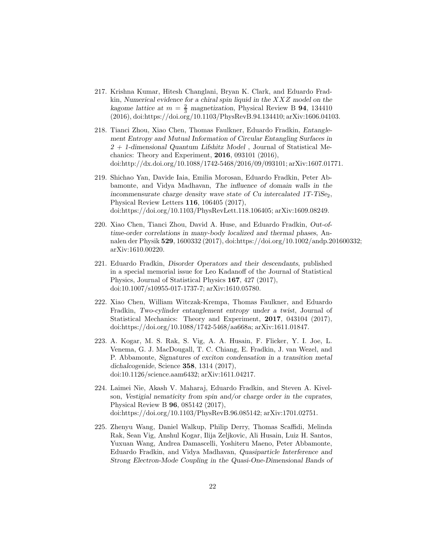- 217. Krishna Kumar, Hitesh Changlani, Bryan K. Clark, and Eduardo Fradkin, Numerical evidence for a chiral spin liquid in the  $XXZ$  model on the kagome lattice at  $m = \frac{2}{3}$  magnetization, Physical Review B 94, 134410 (2016), doi:https://doi.org/10.1103/PhysRevB.94.134410; arXiv:1606.04103.
- 218. Tianci Zhou, Xiao Chen, Thomas Faulkner, Eduardo Fradkin, Entanglement Entropy and Mutual Information of Circular Entangling Surfaces in  $2 + 1$ -dimensional Quantum Lifshitz Model, Journal of Statistical Mechanics: Theory and Experiment, 2016, 093101 (2016), doi:http://dx.doi.org/10.1088/1742-5468/2016/09/093101; arXiv:1607.01771.
- 219. Shichao Yan, Davide Iaia, Emilia Morosan, Eduardo Fradkin, Peter Abbamonte, and Vidya Madhavan, The influence of domain walls in the incommensurate charge density wave state of  $Cu$  intercalated  $1T-TiSe<sub>2</sub>$ , Physical Review Letters 116, 106405 (2017), doi:https://doi.org/10.1103/PhysRevLett.118.106405; arXiv:1609.08249.
- 220. Xiao Chen, Tianci Zhou, David A. Huse, and Eduardo Fradkin, Out-oftime-order correlations in many-body localized and thermal phases, Annalen der Physik 529, 1600332 (2017), doi:https://doi.org/10.1002/andp.201600332; arXiv:1610.00220.
- 221. Eduardo Fradkin, Disorder Operators and their descendants, published in a special memorial issue for Leo Kadanoff of the Journal of Statistical Physics, Journal of Statistical Physics 167, 427 (2017), doi:10.1007/s10955-017-1737-7; arXiv:1610.05780.
- 222. Xiao Chen, William Witczak-Krempa, Thomas Faulkner, and Eduardo Fradkin, Two-cylinder entanglement entropy under a twist, Journal of Statistical Mechanics: Theory and Experiment, 2017, 043104 (2017), doi:https://doi.org/10.1088/1742-5468/aa668a; arXiv:1611.01847.
- 223. A. Kogar, M. S. Rak, S. Vig, A. A. Husain, F. Flicker, Y. I. Joe, L. Venema, G. J. MacDougall, T. C. Chiang, E. Fradkin, J. van Wezel, and P. Abbamonte, Signatures of exciton condensation in a transition metal dichalcogenide, Science 358, 1314 (2017), doi:10.1126/science.aam6432; arXiv:1611.04217.
- 224. Laimei Nie, Akash V. Maharaj, Eduardo Fradkin, and Steven A. Kivelson, Vestigial nematicity from spin and/or charge order in the cuprates, Physical Review B 96, 085142 (2017), doi:https://doi.org/10.1103/PhysRevB.96.085142; arXiv:1701.02751.
- 225. Zhenyu Wang, Daniel Walkup, Philip Derry, Thomas Scaffidi, Melinda Rak, Sean Vig, Anshul Kogar, Ilija Zeljkovic, Ali Husain, Luiz H. Santos, Yuxuan Wang, Andrea Damascelli, Yoshiteru Maeno, Peter Abbamonte, Eduardo Fradkin, and Vidya Madhavan, Quasiparticle Interference and Strong Electron-Mode Coupling in the Quasi-One-Dimensional Bands of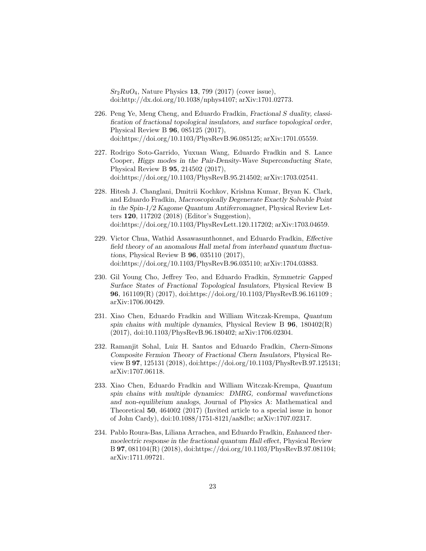$Sr<sub>2</sub>RuO<sub>4</sub>$ , Nature Physics 13, 799 (2017) (cover issue), doi:http://dx.doi.org/10.1038/nphys4107; arXiv:1701.02773.

- 226. Peng Ye, Meng Cheng, and Eduardo Fradkin, Fractional S duality, classification of fractional topological insulators, and surface topological order, Physical Review B 96, 085125 (2017), doi:https://doi.org/10.1103/PhysRevB.96.085125; arXiv:1701.05559.
- 227. Rodrigo Soto-Garrido, Yuxuan Wang, Eduardo Fradkin and S. Lance Cooper, Higgs modes in the Pair-Density-Wave Superconducting State, Physical Review B 95, 214502 (2017), doi:https://doi.org/10.1103/PhysRevB.95.214502; arXiv:1703.02541.
- 228. Hitesh J. Changlani, Dmitrii Kochkov, Krishna Kumar, Bryan K. Clark, and Eduardo Fradkin, Macroscopically Degenerate Exactly Solvable Point in the Spin-1/2 Kagome Quantum Antiferromagnet, Physical Review Letters 120, 117202 (2018) (Editor's Suggestion), doi:https://doi.org/10.1103/PhysRevLett.120.117202; arXiv:1703.04659.
- 229. Victor Chua, Wathid Assawasunthonnet, and Eduardo Fradkin, Effective field theory of an anomalous Hall metal from interband quantum fluctuations, Physical Review B 96, 035110 (2017), doi:https://doi.org/10.1103/PhysRevB.96.035110; arXiv:1704.03883.
- 230. Gil Young Cho, Jeffrey Teo, and Eduardo Fradkin, Symmetric Gapped Surface States of Fractional Topological Insulators, Physical Review B 96, 161109(R) (2017), doi:https://doi.org/10.1103/PhysRevB.96.161109 ; arXiv:1706.00429.
- 231. Xiao Chen, Eduardo Fradkin and William Witczak-Krempa, Quantum spin chains with multiple dynamics, Physical Review B  $96$ ,  $180402(R)$ (2017), doi:10.1103/PhysRevB.96.180402; arXiv:1706.02304.
- 232. Ramanjit Sohal, Luiz H. Santos and Eduardo Fradkin, Chern-Simons Composite Fermion Theory of Fractional Chern Insulators, Physical Review B 97, 125131 (2018), doi:https://doi.org/10.1103/PhysRevB.97.125131; arXiv:1707.06118.
- 233. Xiao Chen, Eduardo Fradkin and William Witczak-Krempa, Quantum spin chains with multiple dynamics: DMRG, conformal wavefunctions and non-equilibrium analogs, Journal of Physics A: Mathematical and Theoretical 50, 464002 (2017) (Invited article to a special issue in honor of John Cardy), doi:10.1088/1751-8121/aa8dbc; arXiv:1707.02317.
- 234. Pablo Roura-Bas, Liliana Arrachea, and Eduardo Fradkin, Enhanced thermoelectric response in the fractional quantum Hall effect, Physical Review B 97, 081104(R) (2018), doi:https://doi.org/10.1103/PhysRevB.97.081104; arXiv:1711.09721.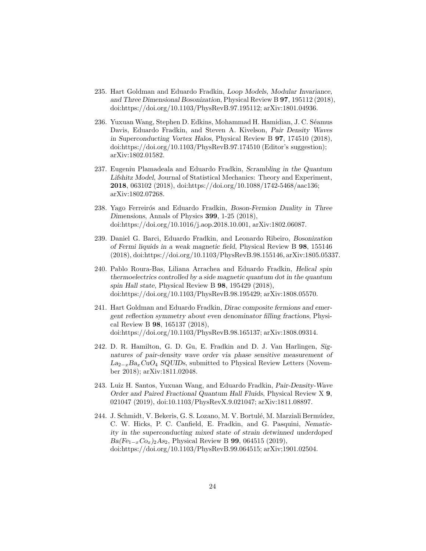- 235. Hart Goldman and Eduardo Fradkin, Loop Models, Modular Invariance, and Three Dimensional Bosonization, Physical Review B 97, 195112 (2018), doi:https://doi.org/10.1103/PhysRevB.97.195112; arXiv:1801.04936.
- 236. Yuxuan Wang, Stephen D. Edkins, Mohammad H. Hamidian, J. C. Séamus Davis, Eduardo Fradkin, and Steven A. Kivelson, Pair Density Waves in Superconducting Vortex Halos, Physical Review B 97, 174510 (2018), doi:https://doi.org/10.1103/PhysRevB.97.174510 (Editor's suggestion); arXiv:1802.01582.
- 237. Eugeniu Plamadeala and Eduardo Fradkin, Scrambling in the Quantum Lifshitz Model, Journal of Statistical Mechanics: Theory and Experiment, 2018, 063102 (2018), doi:https://doi.org/10.1088/1742-5468/aac136; arXiv:1802.07268.
- 238. Yago Ferreirós and Eduardo Fradkin, Boson-Fermion Duality in Three Dimensions, Annals of Physics 399, 1-25 (2018), doi:https://doi.org/10.1016/j.aop.2018.10.001, arXiv:1802.06087.
- 239. Daniel G. Barci, Eduardo Fradkin, and Leonardo Ribeiro, Bosonization of Fermi liquids in a weak magnetic field, Physical Review B 98, 155146 (2018), doi:https://doi.org/10.1103/PhysRevB.98.155146, arXiv:1805.05337.
- 240. Pablo Roura-Bas, Liliana Arrachea and Eduardo Fradkin, Helical spin thermoelectrics controlled by a side magnetic quantum dot in the quantum spin Hall state, Physical Review B 98, 195429 (2018), doi:https://doi.org/10.1103/PhysRevB.98.195429; arXiv:1808.05570.
- 241. Hart Goldman and Eduardo Fradkin, Dirac composite fermions and emergent reflection symmetry about even denominator filling fractions, Physical Review B 98, 165137 (2018), doi:https://doi.org/10.1103/PhysRevB.98.165137; arXiv:1808.09314.
- 242. D. R. Hamilton, G. D. Gu, E. Fradkin and D. J. Van Harlingen, Signatures of pair-density wave order via phase sensitive measurement of  $La_{2-x}Ba_xCuO_4$  SQUIDs, submitted to Physical Review Letters (November 2018); arXiv:1811.02048.
- 243. Luiz H. Santos, Yuxuan Wang, and Eduardo Fradkin, Pair-Density-Wave Order and Paired Fractional Quantum Hall Fluids, Physical Review X 9, 021047 (2019), doi:10.1103/PhysRevX.9.021047; arXiv:1811.08897.
- 244. J. Schmidt, V. Bekeris, G. S. Lozano, M. V. Bortulé, M. Marziali Bermúdez, C. W. Hicks, P. C. Canfield, E. Fradkin, and G. Pasquini, Nematicity in the superconducting mixed state of strain detwinned underdoped  $Ba(Fe_{1-x}Co_{x})_2As_2$ , Physical Review B 99, 064515 (2019), doi:https://doi.org/10.1103/PhysRevB.99.064515; arXiv;1901.02504.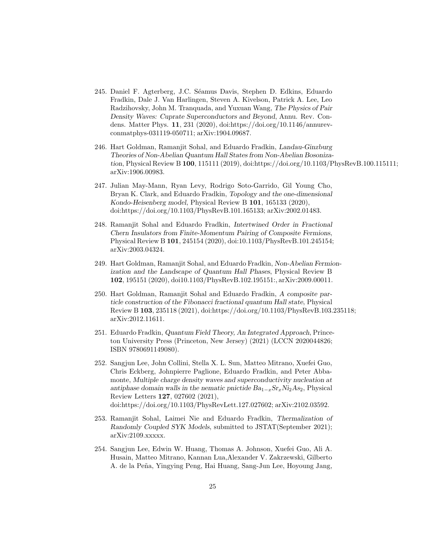- 245. Daniel F. Agterberg, J.C. S´eamus Davis, Stephen D. Edkins, Eduardo Fradkin, Dale J. Van Harlingen, Steven A. Kivelson, Patrick A. Lee, Leo Radzihovsky, John M. Tranquada, and Yuxuan Wang, The Physics of Pair Density Waves: Cuprate Superconductors and Beyond, Annu. Rev. Condens. Matter Phys. 11, 231 (2020), doi:https://doi.org/10.1146/annurevconmatphys-031119-050711; arXiv:1904.09687.
- 246. Hart Goldman, Ramanjit Sohal, and Eduardo Fradkin, Landau-Ginzburg Theories of Non-Abelian Quantum Hall States from Non-Abelian Bosonization, Physical Review B 100, 115111 (2019), doi:https://doi.org/10.1103/PhysRevB.100.115111; arXiv:1906.00983.
- 247. Julian May-Mann, Ryan Levy, Rodrigo Soto-Garrido, Gil Young Cho, Bryan K. Clark, and Eduardo Fradkin, Topology and the one-dimensional Kondo-Heisenberg model, Physical Review B 101, 165133 (2020), doi:https://doi.org/10.1103/PhysRevB.101.165133; arXiv:2002.01483.
- 248. Ramanjit Sohal and Eduardo Fradkin, Intertwined Order in Fractional Chern Insulators from Finite-Momentum Pairing of Composite Fermions, Physical Review B 101, 245154 (2020), doi:10.1103/PhysRevB.101.245154; arXiv:2003.04324.
- 249. Hart Goldman, Ramanjit Sohal, and Eduardo Fradkin, Non-Abelian Fermionization and the Landscape of Quantum Hall Phases, Physical Review B 102, 195151 (2020), doi10.1103/PhysRevB.102.195151:, arXiv:2009.00011.
- 250. Hart Goldman, Ramanjit Sohal and Eduardo Fradkin, A composite particle construction of the Fibonacci fractional quantum Hall state, Physical Review B 103, 235118 (2021), doi:https://doi.org/10.1103/PhysRevB.103.235118; arXiv:2012.11611.
- 251. Eduardo Fradkin, Quantum Field Theory, An Integrated Approach, Princeton University Press (Princeton, New Jersey) (2021) (LCCN 2020044826; ISBN 9780691149080).
- 252. Sangjun Lee, John Collini, Stella X. L. Sun, Matteo Mitrano, Xuefei Guo, Chris Eckberg, Johnpierre Paglione, Eduardo Fradkin, and Peter Abbamonte, Multiple charge density waves and superconductivity nucleation at antiphase domain walls in the nematic pnictide  $Ba_{1-x}Sr_xNi_2As_2$ , Physical Review Letters 127, 027602 (2021), doi:https://doi.org/10.1103/PhysRevLett.127.027602; arXiv:2102.03592.
- 253. Ramanjit Sohal, Laimei Nie and Eduardo Fradkin, Thermalization of Randomly Coupled SYK Models, submitted to JSTAT(September 2021); arXiv:2109.xxxxx.
- 254. Sangjun Lee, Edwin W. Huang, Thomas A. Johnson, Xuefei Guo, Ali A. Husain, Matteo Mitrano, Kannan Lua,Alexander V. Zakrzewski, Gilberto A. de la Peña, Yingying Peng, Hai Huang, Sang-Jun Lee, Hoyoung Jang,